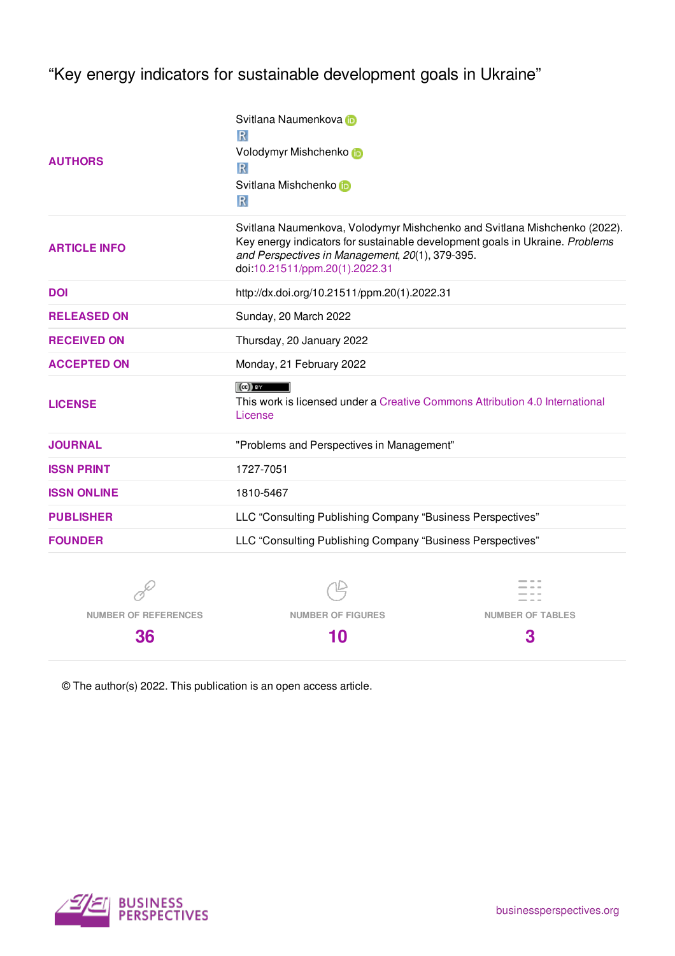"Key energy indicators for sustainable development goals in Ukraine"

| <b>AUTHORS</b>              | Svitlana Naumenkova in<br>R<br>Volodymyr Mishchenko to<br>R<br>Svitlana Mishchenko<br>R                                                                                                                                                        |                         |  |  |  |
|-----------------------------|------------------------------------------------------------------------------------------------------------------------------------------------------------------------------------------------------------------------------------------------|-------------------------|--|--|--|
| <b>ARTICLE INFO</b>         | Svitlana Naumenkova, Volodymyr Mishchenko and Svitlana Mishchenko (2022).<br>Key energy indicators for sustainable development goals in Ukraine. Problems<br>and Perspectives in Management, 20(1), 379-395.<br>doi:10.21511/ppm.20(1).2022.31 |                         |  |  |  |
| <b>DOI</b>                  | http://dx.doi.org/10.21511/ppm.20(1).2022.31                                                                                                                                                                                                   |                         |  |  |  |
| <b>RELEASED ON</b>          | Sunday, 20 March 2022                                                                                                                                                                                                                          |                         |  |  |  |
| <b>RECEIVED ON</b>          | Thursday, 20 January 2022                                                                                                                                                                                                                      |                         |  |  |  |
| <b>ACCEPTED ON</b>          | Monday, 21 February 2022                                                                                                                                                                                                                       |                         |  |  |  |
| <b>LICENSE</b>              | $(cc)$ BY<br>This work is licensed under a Creative Commons Attribution 4.0 International<br>License                                                                                                                                           |                         |  |  |  |
| <b>JOURNAL</b>              | "Problems and Perspectives in Management"                                                                                                                                                                                                      |                         |  |  |  |
| <b>ISSN PRINT</b>           | 1727-7051                                                                                                                                                                                                                                      |                         |  |  |  |
| <b>ISSN ONLINE</b>          | 1810-5467                                                                                                                                                                                                                                      |                         |  |  |  |
| <b>PUBLISHER</b>            | LLC "Consulting Publishing Company "Business Perspectives"                                                                                                                                                                                     |                         |  |  |  |
| <b>FOUNDER</b>              | LLC "Consulting Publishing Company "Business Perspectives"                                                                                                                                                                                     |                         |  |  |  |
|                             |                                                                                                                                                                                                                                                |                         |  |  |  |
| <b>NUMBER OF REFERENCES</b> | <b>NUMBER OF FIGURES</b>                                                                                                                                                                                                                       | <b>NUMBER OF TABLES</b> |  |  |  |

**10**

© The author(s) 2022. This publication is an open access article.



**36**

**3**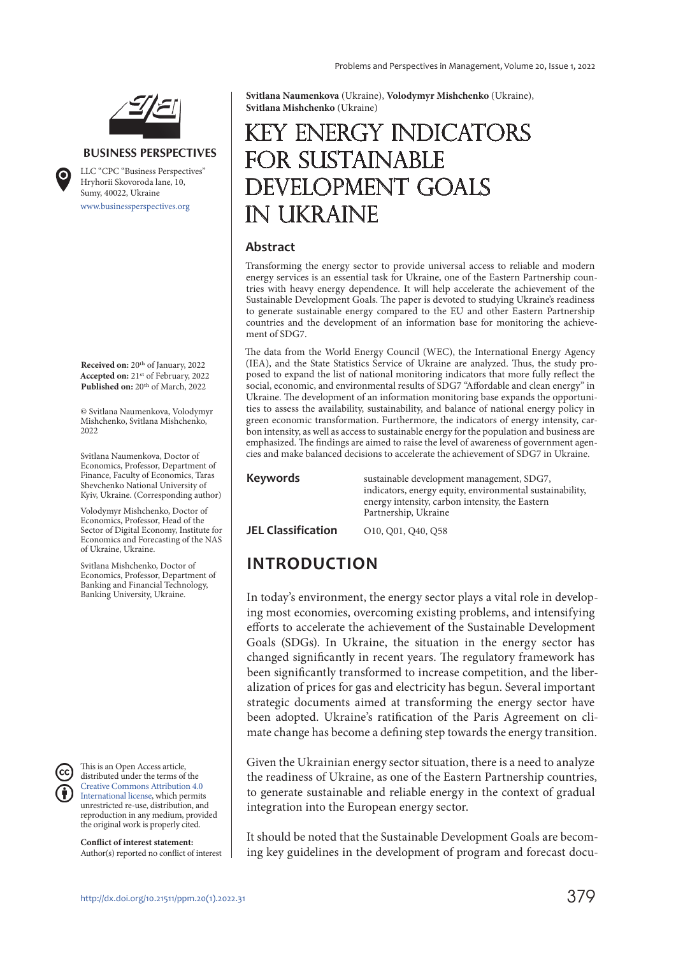

#### **BUSINESS PERSPECTIVES**

www.businessperspectives.org LLC "СPС "Business Perspectives" Hryhorii Skovoroda lane, 10, Sumy, 40022, Ukraine

**Received on:** 20th of January, 2022 **Accepted on:** 21st of February, 2022 Published on: 20<sup>th</sup> of March, 2022

© Svitlana Naumenkova, Volodymyr Mishchenko, Svitlana Mishchenko, 2022

Svitlana Naumenkova, Doctor of Economics, Professor, Department of Finance, Faculty of Economics, Taras Shevchenko National University of Kyiv, Ukraine. (Corresponding author)

Volodymyr Mishchenko, Doctor of Economics, Professor, Head of the Sector of Digital Economy, Institute for Economics and Forecasting of the NAS of Ukraine, Ukraine.

Svitlana Mishchenko, Doctor of Economics, Professor, Department of Banking and Financial Technology, Banking University, Ukraine.

This is an Open Access article, distributed under the terms of the Creative Commons Attribution 4.0 International license, which permits unrestricted re-use, distribution, and reproduction in any medium, provided the original work is properly cited.

**Conflict of interest statement:**  Author(s) reported no conflict of interest **Svitlana Naumenkova** (Ukraine), **Volodymyr Mishchenko** (Ukraine), **Svitlana Mishchenko** (Ukraine)

# Key energy indicators FOR SUSTAINABLE development goals in Ukraine

#### **Abstract**

Transforming the energy sector to provide universal access to reliable and modern energy services is an essential task for Ukraine, one of the Eastern Partnership countries with heavy energy dependence. It will help accelerate the achievement of the Sustainable Development Goals. The paper is devoted to studying Ukraine's readiness to generate sustainable energy compared to the EU and other Eastern Partnership countries and the development of an information base for monitoring the achievement of SDG7.

The data from the World Energy Council (WEC), the International Energy Agency (IEA), and the State Statistics Service of Ukraine are analyzed. Thus, the study proposed to expand the list of national monitoring indicators that more fully reflect the social, economic, and environmental results of SDG7 "Affordable and clean energy" in Ukraine. The development of an information monitoring base expands the opportunities to assess the availability, sustainability, and balance of national energy policy in green economic transformation. Furthermore, the indicators of energy intensity, carbon intensity, as well as access to sustainable energy for the population and business are emphasized. The findings are aimed to raise the level of awareness of government agencies and make balanced decisions to accelerate the achievement of SDG7 in Ukraine.

**Keywords** sustainable development management, SDG7, indicators, energy equity, environmental sustainability, energy intensity, carbon intensity, the Eastern Partnership, Ukraine

**JEL Classification** 010, 001, 040, 058

## **INTRODUCTION**

In today's environment, the energy sector plays a vital role in developing most economies, overcoming existing problems, and intensifying efforts to accelerate the achievement of the Sustainable Development Goals (SDGs). In Ukraine, the situation in the energy sector has changed significantly in recent years. The regulatory framework has been significantly transformed to increase competition, and the liberalization of prices for gas and electricity has begun. Several important strategic documents aimed at transforming the energy sector have been adopted. Ukraine's ratification of the Paris Agreement on climate change has become a defining step towards the energy transition.

Given the Ukrainian energy sector situation, there is a need to analyze the readiness of Ukraine, as one of the Eastern Partnership countries, to generate sustainable and reliable energy in the context of gradual integration into the European energy sector.

It should be noted that the Sustainable Development Goals are becoming key guidelines in the development of program and forecast docu-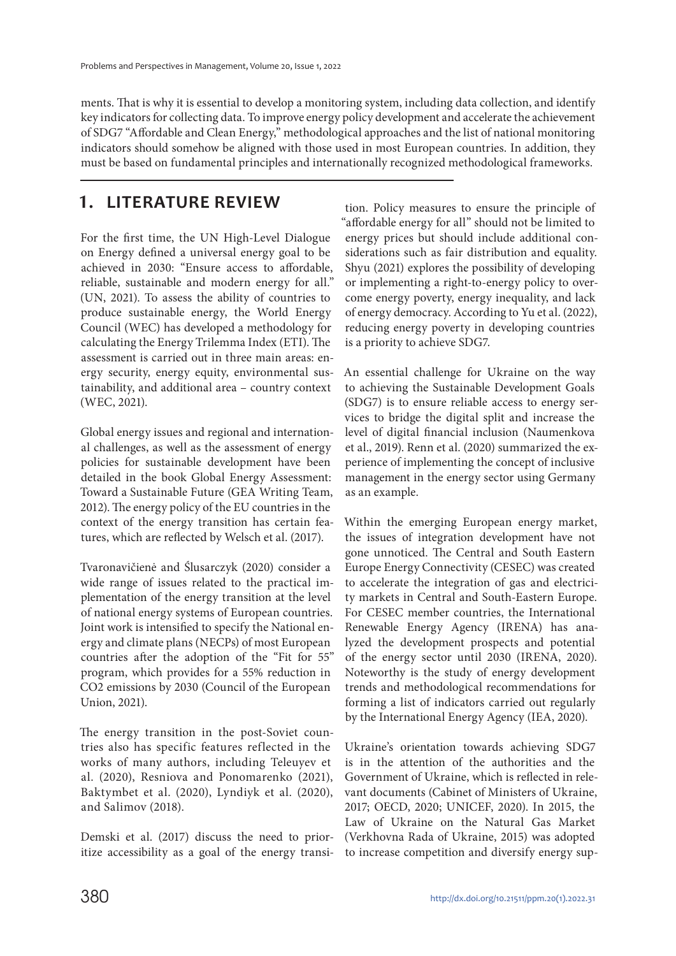ments. That is why it is essential to develop a monitoring system, including data collection, and identify key indicators for collecting data. To improve energy policy development and accelerate the achievement of SDG7 "Affordable and Clean Energy," methodological approaches and the list of national monitoring indicators should somehow be aligned with those used in most European countries. In addition, they must be based on fundamental principles and internationally recognized methodological frameworks.

### **1. LITERATURE REVIEW**

For the first time, the UN High-Level Dialogue on Energy defined a universal energy goal to be achieved in 2030: "Ensure access to affordable, reliable, sustainable and modern energy for all." (UN, 2021). To assess the ability of countries to produce sustainable energy, the World Energy Council (WEC) has developed a methodology for calculating the Energy Trilemma Index (ETI). The assessment is carried out in three main areas: energy security, energy equity, environmental sustainability, and additional area – country context (WEC, 2021).

Global energy issues and regional and international challenges, as well as the assessment of energy policies for sustainable development have been detailed in the book Global Energy Assessment: Toward a Sustainable Future (GEA Writing Team, 2012). The energy policy of the EU countries in the context of the energy transition has certain features, which are reflected by Welsch et al. (2017).

Tvaronavičienė and Ślusarczyk (2020) consider a wide range of issues related to the practical implementation of the energy transition at the level of national energy systems of European countries. Joint work is intensified to specify the National energy and climate plans (NECPs) of most European countries after the adoption of the "Fit for 55" program, which provides for a 55% reduction in СО2 emissions by 2030 (Council of the European Union, 2021).

The energy transition in the post-Soviet countries also has specific features reflected in the works of many authors, including Teleuyev et al. (2020), Resniova and Ponomarenko (2021), Baktymbet et al. (2020), Lyndiyk et al. (2020), and Salimov (2018).

Demski et al. (2017) discuss the need to prioritize accessibility as a goal of the energy transi-

tion. Policy measures to ensure the principle of "affordable energy for all" should not be limited to energy prices but should include additional considerations such as fair distribution and equality. Shyu (2021) explores the possibility of developing or implementing a right-to-energy policy to overcome energy poverty, energy inequality, and lack of energy democracy. According to Yu et al. (2022), reducing energy poverty in developing countries is a priority to achieve SDG7.

An essential challenge for Ukraine on the way to achieving the Sustainable Development Goals (SDG7) is to ensure reliable access to energy services to bridge the digital split and increase the level of digital financial inclusion (Naumenkova et al., 2019). Renn et al. (2020) summarized the experience of implementing the concept of inclusive management in the energy sector using Germany as an example.

Within the emerging European energy market, the issues of integration development have not gone unnoticed. The Central and South Eastern Europe Energy Connectivity (CESEC) was created to accelerate the integration of gas and electricity markets in Central and South-Eastern Europe. For CESEC member countries, the International Renewable Energy Agency (IRENA) has analyzed the development prospects and potential of the energy sector until 2030 (IRENA, 2020). Noteworthy is the study of energy development trends and methodological recommendations for forming a list of indicators carried out regularly by the International Energy Agency (IEA, 2020).

Ukraine's orientation towards achieving SDG7 is in the attention of the authorities and the Government of Ukraine, which is reflected in relevant documents (Cabinet of Ministers of Ukraine, 2017; OECD, 2020; UNICEF, 2020). In 2015, the Law of Ukraine on the Natural Gas Market (Verkhovna Rada of Ukraine, 2015) was adopted to increase competition and diversify energy sup-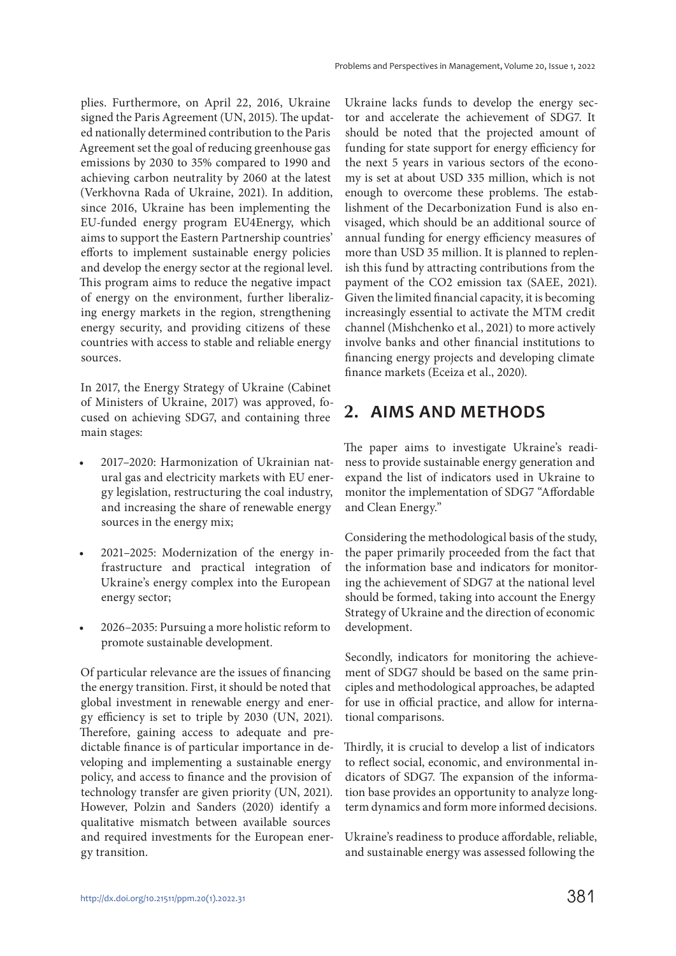plies. Furthermore, on April 22, 2016, Ukraine signed the Paris Agreement (UN, 2015). The updated nationally determined contribution to the Paris Agreement set the goal of reducing greenhouse gas emissions by 2030 to 35% compared to 1990 and achieving carbon neutrality by 2060 at the latest (Verkhovna Rada of Ukraine, 2021). In addition, since 2016, Ukraine has been implementing the EU-funded energy program EU4Energy, which aims to support the Eastern Partnership countries' efforts to implement sustainable energy policies and develop the energy sector at the regional level. This program aims to reduce the negative impact of energy on the environment, further liberalizing energy markets in the region, strengthening energy security, and providing citizens of these countries with access to stable and reliable energy sources.

In 2017, the Energy Strategy of Ukraine (Cabinet of Ministers of Ukraine, 2017) was approved, focused on achieving SDG7, and containing three main stages:

- 2017–2020: Harmonization of Ukrainian natural gas and electricity markets with EU energy legislation, restructuring the coal industry, and increasing the share of renewable energy sources in the energy mix;
- 2021–2025: Modernization of the energy infrastructure and practical integration of Ukraine's energy complex into the European energy sector;
- 2026–2035: Pursuing a more holistic reform to promote sustainable development.

Of particular relevance are the issues of financing the energy transition. First, it should be noted that global investment in renewable energy and energy efficiency is set to triple by 2030 (UN, 2021). Therefore, gaining access to adequate and predictable finance is of particular importance in developing and implementing a sustainable energy policy, and access to finance and the provision of technology transfer are given priority (UN, 2021). However, Polzin and Sanders (2020) identify a qualitative mismatch between available sources and required investments for the European energy transition.

Ukraine lacks funds to develop the energy sector and accelerate the achievement of SDG7. It should be noted that the projected amount of funding for state support for energy efficiency for the next 5 years in various sectors of the economy is set at about USD 335 million, which is not enough to overcome these problems. The establishment of the Decarbonization Fund is also envisaged, which should be an additional source of annual funding for energy efficiency measures of more than USD 35 million. It is planned to replenish this fund by attracting contributions from the payment of the СО2 emission tax (SAEE, 2021). Given the limited financial capacity, it is becoming increasingly essential to activate the MTM credit channel (Mishchenko et al., 2021) to more actively involve banks and other financial institutions to financing energy projects and developing climate finance markets (Eceiza et al., 2020).

### **2. AIMS AND METHODS**

The paper aims to investigate Ukraine's readiness to provide sustainable energy generation and expand the list of indicators used in Ukraine to monitor the implementation of SDG7 "Affordable and Clean Energy."

Considering the methodological basis of the study, the paper primarily proceeded from the fact that the information base and indicators for monitoring the achievement of SDG7 at the national level should be formed, taking into account the Energy Strategy of Ukraine and the direction of economic development.

Secondly, indicators for monitoring the achievement of SDG7 should be based on the same principles and methodological approaches, be adapted for use in official practice, and allow for international comparisons.

Thirdly, it is crucial to develop a list of indicators to reflect social, economic, and environmental indicators of SDG7. The expansion of the information base provides an opportunity to analyze longterm dynamics and form more informed decisions.

Ukraine's readiness to produce affordable, reliable, and sustainable energy was assessed following the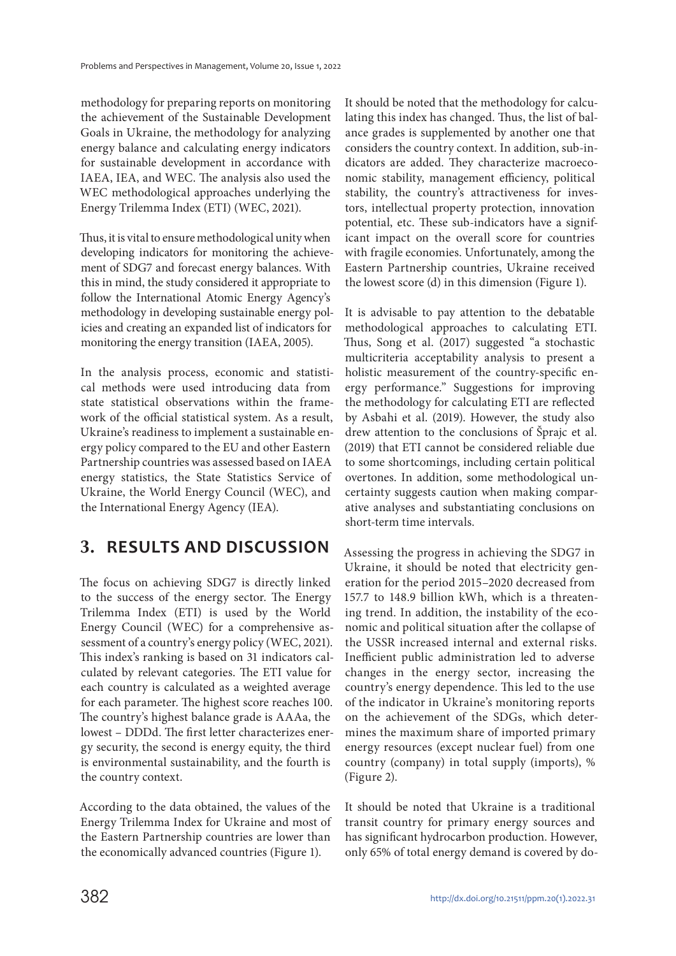methodology for preparing reports on monitoring the achievement of the Sustainable Development Goals in Ukraine, the methodology for analyzing energy balance and calculating energy indicators for sustainable development in accordance with IAEA, IEA, and WEC. The analysis also used the WEC methodological approaches underlying the Energy Trilemma Index (ETI) (WEC, 2021).

Thus, it is vital to ensure methodological unity when developing indicators for monitoring the achievement of SDG7 and forecast energy balances. With this in mind, the study considered it appropriate to follow the International Atomic Energy Agency's methodology in developing sustainable energy policies and creating an expanded list of indicators for monitoring the energy transition (IAEA, 2005).

In the analysis process, economic and statistical methods were used introducing data from state statistical observations within the framework of the official statistical system. As a result, Ukraine's readiness to implement a sustainable energy policy compared to the EU and other Eastern Partnership countries was assessed based on IAEA energy statistics, the State Statistics Service of Ukraine, the World Energy Council (WEC), and the International Energy Agency (IEA).

### **3. RESULTS AND DISCUSSION**

The focus on achieving SDG7 is directly linked to the success of the energy sector. The Energy Trilemma Index (ETI) is used by the World Energy Council (WEC) for a comprehensive assessment of a country's energy policy (WEC, 2021). This index's ranking is based on 31 indicators calculated by relevant categories. The ETI value for each country is calculated as a weighted average for each parameter. The highest score reaches 100. The country's highest balance grade is AAAa, the lowest – DDDd. The first letter characterizes energy security, the second is energy equity, the third is environmental sustainability, and the fourth is the country context.

According to the data obtained, the values of the Energy Trilemma Index for Ukraine and most of the Eastern Partnership countries are lower than the economically advanced countries (Figure 1).

It should be noted that the methodology for calculating this index has changed. Thus, the list of balance grades is supplemented by another one that considers the country context. In addition, sub-indicators are added. They characterize macroeconomic stability, management efficiency, political stability, the country's attractiveness for investors, intellectual property protection, innovation potential, etc. These sub-indicators have a significant impact on the overall score for countries with fragile economies. Unfortunately, among the Eastern Partnership countries, Ukraine received the lowest score (d) in this dimension (Figure 1).

It is advisable to pay attention to the debatable methodological approaches to calculating ETI. Thus, Song et al. (2017) suggested "a stochastic multicriteria acceptability analysis to present a holistic measurement of the country-specific energy performance." Suggestions for improving the methodology for calculating ETI are reflected by Asbahi et al. (2019). However, the study also drew attention to the conclusions of Šprajc et al. (2019) that ETI cannot be considered reliable due to some shortcomings, including certain political overtones. In addition, some methodological uncertainty suggests caution when making comparative analyses and substantiating conclusions on short-term time intervals.

Assessing the progress in achieving the SDG7 in Ukraine, it should be noted that electricity generation for the period 2015–2020 decreased from 157.7 to 148.9 billion kWh, which is a threatening trend. In addition, the instability of the economic and political situation after the collapse of the USSR increased internal and external risks. Inefficient public administration led to adverse changes in the energy sector, increasing the country's energy dependence. This led to the use of the indicator in Ukraine's monitoring reports on the achievement of the SDGs, which determines the maximum share of imported primary energy resources (except nuclear fuel) from one country (company) in total supply (imports), % (Figure 2).

It should be noted that Ukraine is a traditional transit country for primary energy sources and has significant hydrocarbon production. However, only 65% of total energy demand is covered by do-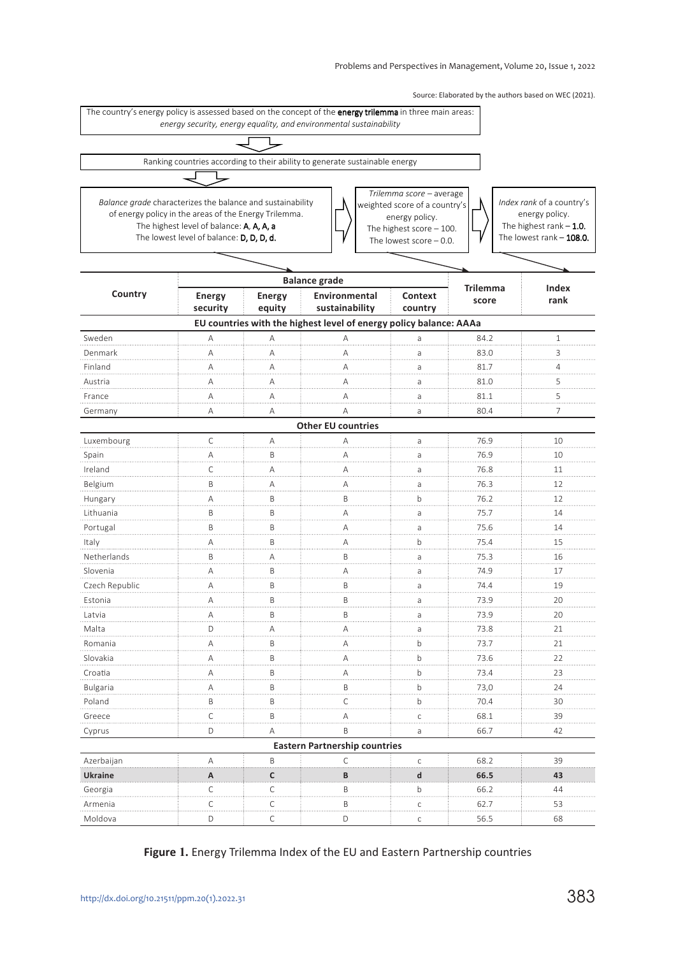Source: Elaborated by the authors based on WEC (2021).



#### **Figure 1.** Energy Trilemma Index of the EU and Eastern Partnership countries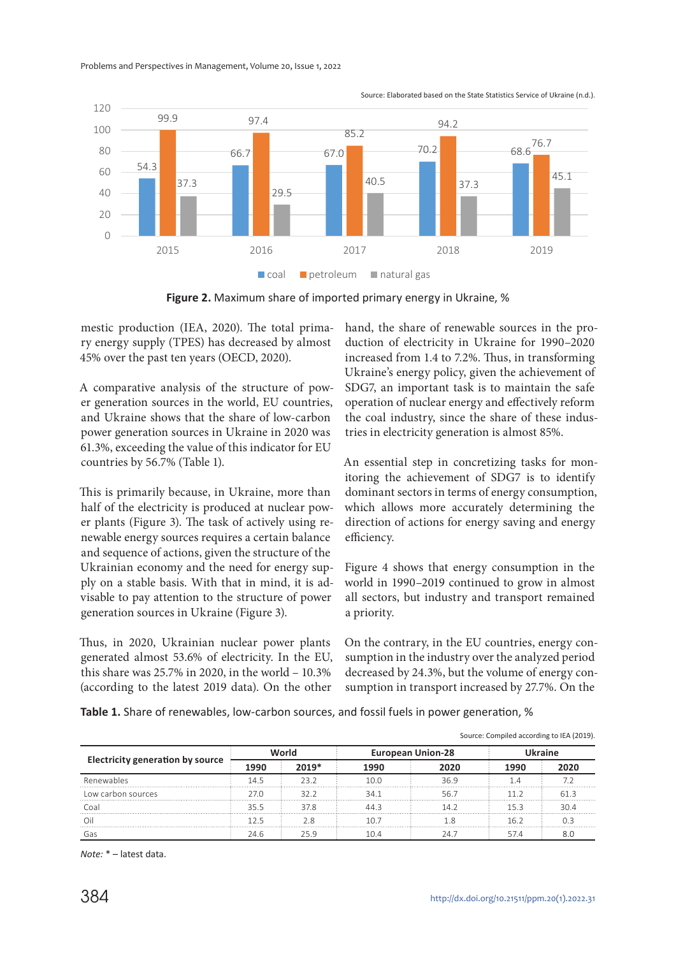

Source: Elaborated based on the State Statistics Service of Ukraine (n.d.).

**Figure 2.** Maximum share of imported primary energy in Ukraine, %

mestic production (IEA, 2020). The total primary energy supply (TPES) has decreased by almost 45% over the past ten years (OECD, 2020).

A comparative analysis of the structure of power generation sources in the world, EU countries, and Ukraine shows that the share of low-carbon power generation sources in Ukraine in 2020 was 61.3%, exceeding the value of this indicator for EU countries by 56.7% (Table 1).

This is primarily because, in Ukraine, more than half of the electricity is produced at nuclear power plants (Figure 3). The task of actively using renewable energy sources requires a certain balance and sequence of actions, given the structure of the Ukrainian economy and the need for energy supply on a stable basis. With that in mind, it is advisable to pay attention to the structure of power generation sources in Ukraine (Figure 3).

Thus, in 2020, Ukrainian nuclear power plants generated almost 53.6% of electricity. In the EU, this share was 25.7% in 2020, in the world – 10.3% (according to the latest 2019 data). On the other

hand, the share of renewable sources in the production of electricity in Ukraine for 1990–2020 increased from 1.4 to 7.2%. Thus, in transforming Ukraine's energy policy, given the achievement of SDG7, an important task is to maintain the safe operation of nuclear energy and effectively reform the coal industry, since the share of these industries in electricity generation is almost 85%.

An essential step in concretizing tasks for monitoring the achievement of SDG7 is to identify dominant sectors in terms of energy consumption, which allows more accurately determining the direction of actions for energy saving and energy efficiency.

Figure 4 shows that energy consumption in the world in 1990–2019 continued to grow in almost all sectors, but industry and transport remained a priority.

On the contrary, in the EU countries, energy consumption in the industry over the analyzed period decreased by 24.3%, but the volume of energy consumption in transport increased by 27.7%. On the

**Table 1.** Share of renewables, low-carbon sources, and fossil fuels in power generation, %

| Source: Compiled according to IEA (2019). |       |         |                          |      |         |      |
|-------------------------------------------|-------|---------|--------------------------|------|---------|------|
| <b>Electricity generation by source</b>   |       |         | <b>European Union-28</b> |      | Ukraine |      |
|                                           | 1990  | $2019*$ | 1990                     | 2020 | 1990    |      |
| Renewables                                | 14 5  | フス フ    | 100                      | 36.9 |         |      |
| Low carbon sources                        | 27 N  | 32 2    | 341                      | 56 7 | 11 2    | 61 R |
| Coal                                      | 355   | 37 R    | 443                      | 14 2 | 153     | 304  |
| Οi                                        | 1 フ ら |         | 10.7                     |      | 16.2    |      |
|                                           | 24 R  |         | 1 N 4                    |      |         | 80   |

*Note:* \* – latest data.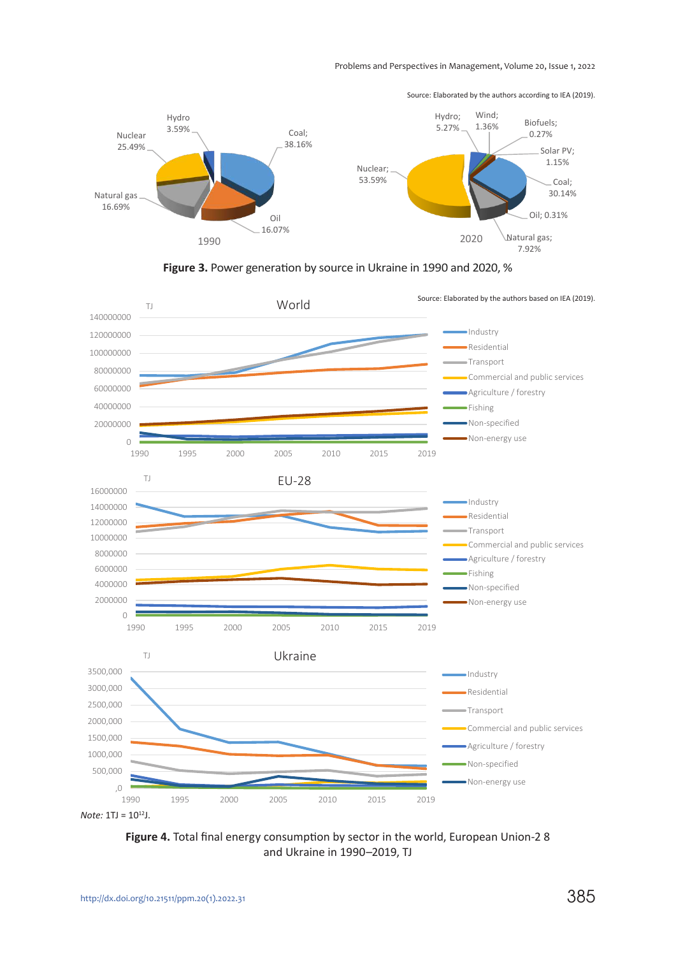

Source: Elaborated by the authors according to ІЕА (2019).





*Note:* 1TJ = 10<sup>12</sup>J.

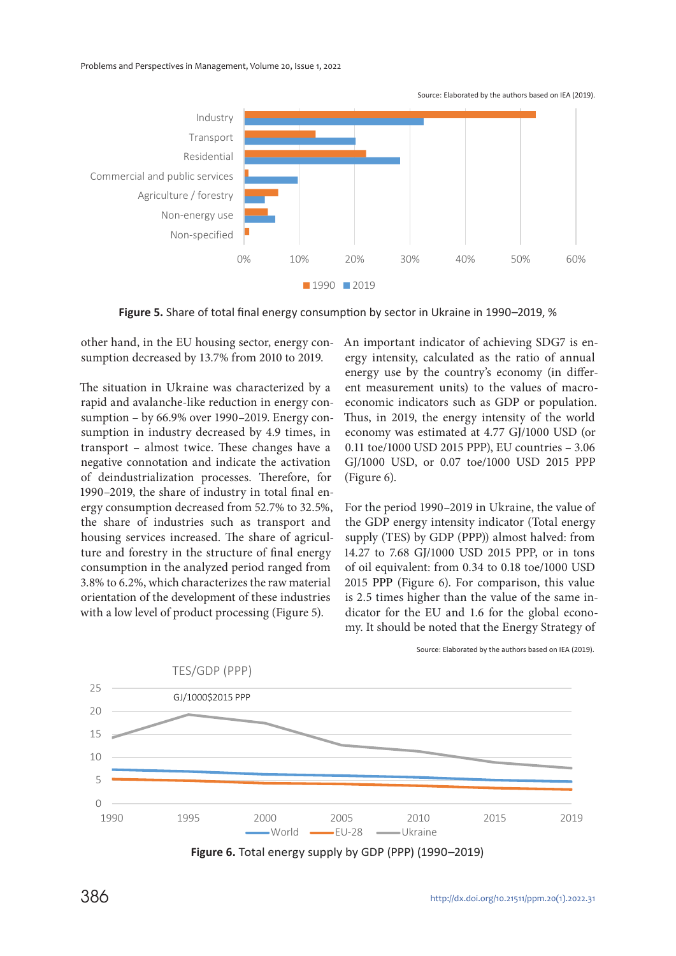

**1990 2019** 

**Figure 5.** Share of total final energy consumption by sector in Ukraine in 1990–2019, %

other hand, in the EU housing sector, energy consumption decreased by 13.7% from 2010 to 2019.

The situation in Ukraine was characterized by a rapid and avalanche-like reduction in energy consumption – by 66.9% over 1990–2019. Energy consumption in industry decreased by 4.9 times, in transport – almost twice. These changes have a negative connotation and indicate the activation of deindustrialization processes. Therefore, for 1990–2019, the share of industry in total final energy consumption decreased from 52.7% to 32.5%, the share of industries such as transport and housing services increased. The share of agriculture and forestry in the structure of final energy consumption in the analyzed period ranged from 3.8% to 6.2%, which characterizes the raw material orientation of the development of these industries with a low level of product processing (Figure 5).

An important indicator of achieving SDG7 is energy intensity, calculated as the ratio of annual energy use by the country's economy (in different measurement units) to the values of macroeconomic indicators such as GDP or population. Thus, in 2019, the energy intensity of the world economy was estimated at 4.77 GJ/1000 USD (or 0.11 toe/1000 USD 2015 PPP), EU countries – 3.06 GJ/1000 USD, or 0.07 toe/1000 USD 2015 PPP (Figure 6).

For the period 1990–2019 in Ukraine, the value of the GDP energy intensity indicator (Total energy supply (TES) by GDP (PPP)) almost halved: from 14.27 to 7.68 GJ/1000 USD 2015 PPP, or in tons of oil equivalent: from 0.34 to 0.18 toe/1000 USD 2015 РРР (Figure 6). For comparison, this value is 2.5 times higher than the value of the same indicator for the EU and 1.6 for the global economy. It should be noted that the Energy Strategy of



Source: Elaborated by the authors based on ІЕА (2019).

**Figure 6.** Total energy supply by GDP (PPP) (1990–2019)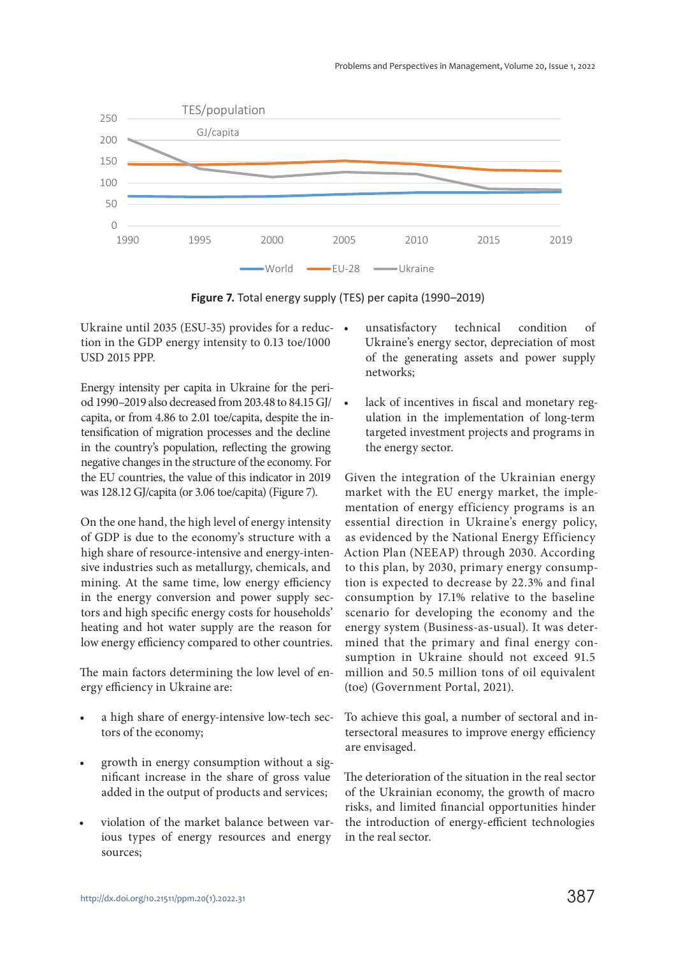

**Figure 7.** Total energy supply (TES) per capita (1990–2019)

Ukraine until 2035 (ESU-35) provides for a reduction in the GDP energy intensity to 0.13 toe/1000 USD 2015 PPP.

Energy intensity per capita in Ukraine for the period 1990–2019 also decreased from 203.48 to 84.15 GJ/ capita, or from 4.86 to 2.01 toe/capita, despite the intensification of migration processes and the decline in the country's population, reflecting the growing negative changes in the structure of the economy. For the EU countries, the value of this indicator in 2019 was 128.12 GJ/capita (or 3.06 toe/capita) (Figure 7).

On the one hand, the high level of energy intensity of GDP is due to the economy's structure with a high share of resource-intensive and energy-intensive industries such as metallurgy, chemicals, and mining. At the same time, low energy efficiency in the energy conversion and power supply sectors and high specific energy costs for households' heating and hot water supply are the reason for low energy efficiency compared to other countries.

The main factors determining the low level of energy efficiency in Ukraine are:

- a high share of energy-intensive low-tech sectors of the economy;
- growth in energy consumption without a significant increase in the share of gross value added in the output of products and services;
- violation of the market balance between various types of energy resources and energy sources;
- unsatisfactory technical condition of Ukraine's energy sector, depreciation of most of the generating assets and power supply networks;
- lack of incentives in fiscal and monetary regulation in the implementation of long-term targeted investment projects and programs in the energy sector.

Given the integration of the Ukrainian energy market with the EU energy market, the implementation of energy efficiency programs is an essential direction in Ukraine's energy policy, as evidenced by the National Energy Efficiency Action Plan (NEEAP) through 2030. According to this plan, by 2030, primary energy consumption is expected to decrease by 22.3% and final consumption by 17.1% relative to the baseline scenario for developing the economy and the energy system (Business-as-usual). It was determined that the primary and final energy consumption in Ukraine should not exceed 91.5 million and 50.5 million tons of oil equivalent (toe) (Government Portal, 2021).

To achieve this goal, a number of sectoral and intersectoral measures to improve energy efficiency are envisaged.

The deterioration of the situation in the real sector of the Ukrainian economy, the growth of macro risks, and limited financial opportunities hinder the introduction of energy-efficient technologies in the real sector.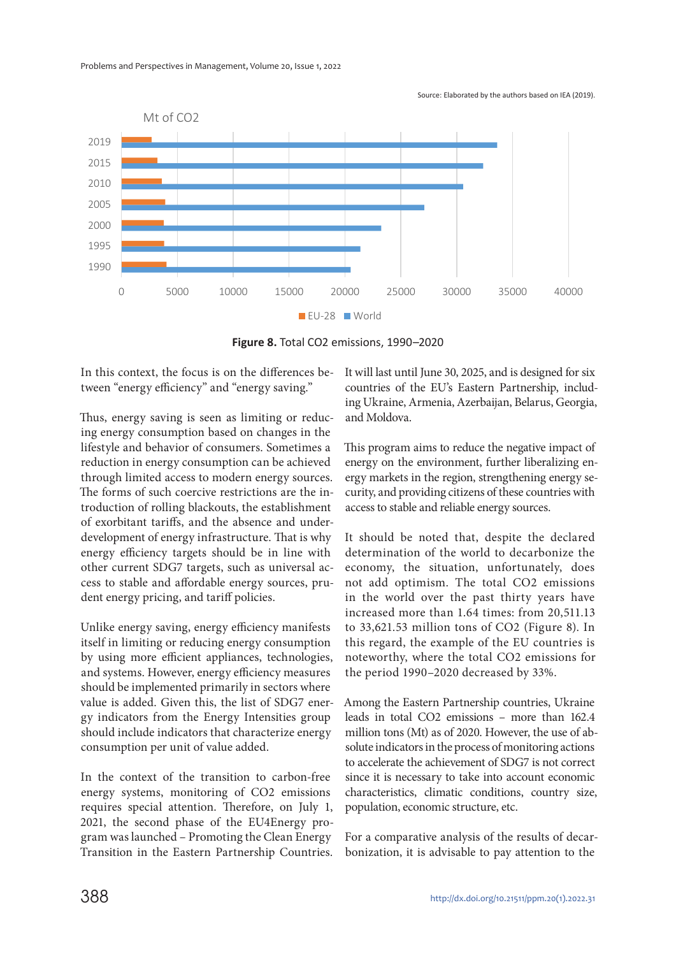

![](_page_10_Figure_2.jpeg)

**Figure 8.** Total CO2 emissions, 1990–2020

In this context, the focus is on the differences between "energy efficiency" and "energy saving."

Thus, energy saving is seen as limiting or reducing energy consumption based on changes in the lifestyle and behavior of consumers. Sometimes a reduction in energy consumption can be achieved through limited access to modern energy sources. The forms of such coercive restrictions are the introduction of rolling blackouts, the establishment of exorbitant tariffs, and the absence and underdevelopment of energy infrastructure. That is why energy efficiency targets should be in line with other current SDG7 targets, such as universal access to stable and affordable energy sources, prudent energy pricing, and tariff policies.

Unlike energy saving, energy efficiency manifests itself in limiting or reducing energy consumption by using more efficient appliances, technologies, and systems. However, energy efficiency measures should be implemented primarily in sectors where value is added. Given this, the list of SDG7 energy indicators from the Energy Intensities group should include indicators that characterize energy consumption per unit of value added.

In the context of the transition to carbon-free energy systems, monitoring of СО2 emissions requires special attention. Therefore, on July 1, 2021, the second phase of the EU4Energy program was launched – Promoting the Clean Energy Transition in the Eastern Partnership Countries. It will last until June 30, 2025, and is designed for six countries of the EU's Eastern Partnership, including Ukraine, Armenia, Azerbaijan, Belarus, Georgia, and Moldova.

This program aims to reduce the negative impact of energy on the environment, further liberalizing energy markets in the region, strengthening energy security, and providing citizens of these countries with access to stable and reliable energy sources.

It should be noted that, despite the declared determination of the world to decarbonize the economy, the situation, unfortunately, does not add optimism. The total СО2 emissions in the world over the past thirty years have increased more than 1.64 times: from 20,511.13 to 33,621.53 million tons of СО2 (Figure 8). In this regard, the example of the EU countries is noteworthy, where the total СО2 emissions for the period 1990–2020 decreased by 33%.

Among the Eastern Partnership countries, Ukraine leads in total СО2 emissions – more than 162.4 million tons (Mt) as of 2020. However, the use of absolute indicators in the process of monitoring actions to accelerate the achievement of SDG7 is not correct since it is necessary to take into account economic characteristics, climatic conditions, country size, population, economic structure, etc.

For a comparative analysis of the results of decarbonization, it is advisable to pay attention to the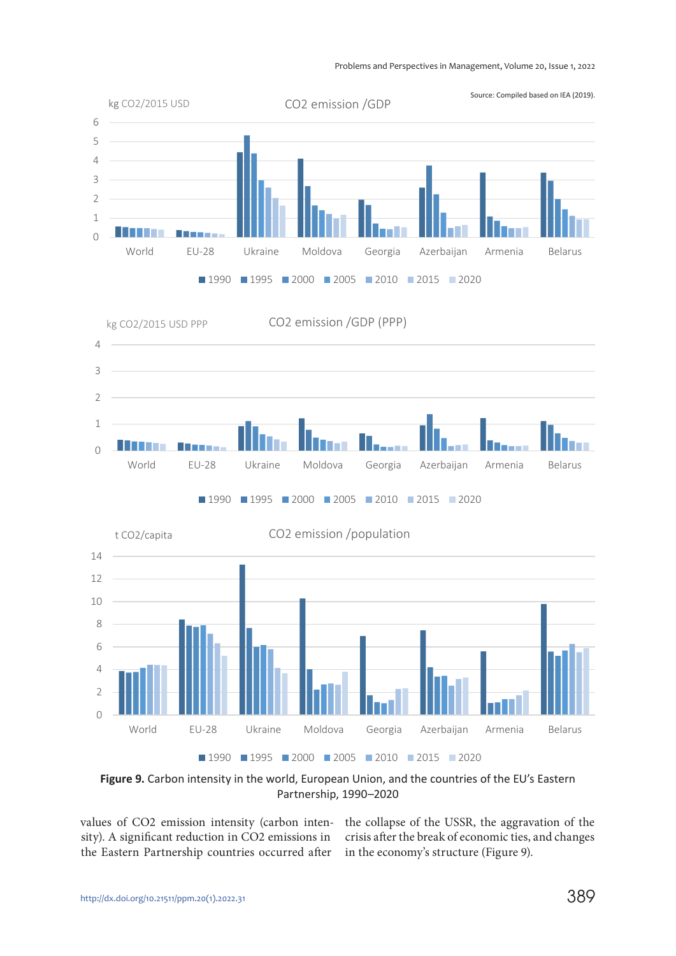![](_page_11_Figure_1.jpeg)

Figure 9. Carbon intensity in the world, European Union, and the countries of the EU's Eastern Partnership, 1990–2020

values of СО2 emission intensity (carbon inten-the collapse of the USSR, the aggravation of the sity). A significant reduction in СО2 emissions in crisis after the break of economic ties, and changes the Eastern Partnership countries occurred after in the economy's structure (Figure 9).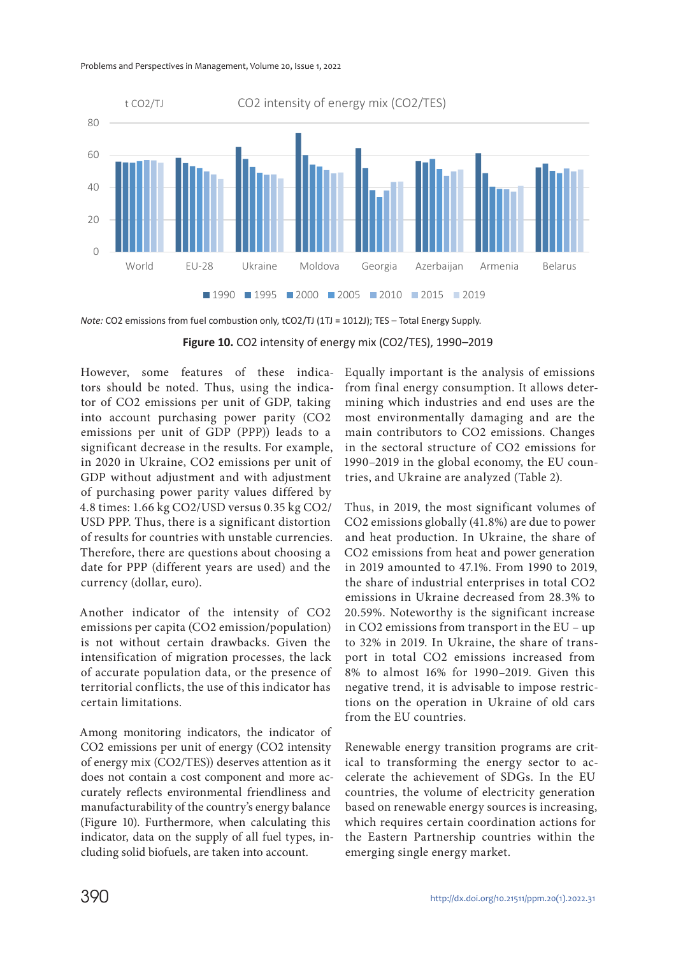![](_page_12_Figure_1.jpeg)

*Note:* CO2 emissions from fuel combustion only, tCO2/TJ (1TJ = 1012J); TES - Total Energy Supply.

**Figure 10.** CO2 intensity of energy mix (CO2/TES), 1990–2019

However, some features of these indicators should be noted. Thus, using the indicator of СО2 emissions per unit of GDP, taking into account purchasing power parity (СО2 emissions per unit of GDP (PPP)) leads to a significant decrease in the results. For example, in 2020 in Ukraine, СО2 emissions per unit of GDP without adjustment and with adjustment of purchasing power parity values differed by 4.8 times: 1.66 kg СО2/USD versus 0.35 kg СО2/ USD PPP. Thus, there is a significant distortion of results for countries with unstable currencies. Therefore, there are questions about choosing a date for РРР (different years are used) and the currency (dollar, euro).

Another indicator of the intensity of СО2 emissions per capita (СО2 emission/population) is not without certain drawbacks. Given the intensification of migration processes, the lack of accurate population data, or the presence of territorial conflicts, the use of this indicator has certain limitations.

Among monitoring indicators, the indicator of CO2 emissions per unit of energy (CO2 intensity of energy mix (CO2/TES)) deserves attention as it does not contain a cost component and more accurately reflects environmental friendliness and manufacturability of the country's energy balance (Figure 10). Furthermore, when calculating this indicator, data on the supply of all fuel types, including solid biofuels, are taken into account.

Equally important is the analysis of emissions from final energy consumption. It allows determining which industries and end uses are the most environmentally damaging and are the main contributors to СО2 emissions. Changes in the sectoral structure of СО2 emissions for 1990–2019 in the global economy, the EU countries, and Ukraine are analyzed (Table 2).

Thus, in 2019, the most significant volumes of СО2 emissions globally (41.8%) are due to power and heat production. In Ukraine, the share of СО2 emissions from heat and power generation in 2019 amounted to 47.1%. From 1990 to 2019, the share of industrial enterprises in total СО2 emissions in Ukraine decreased from 28.3% to 20.59%. Noteworthy is the significant increase in СО2 emissions from transport in the EU – up to 32% in 2019. In Ukraine, the share of transport in total СО2 emissions increased from 8% to almost 16% for 1990–2019. Given this negative trend, it is advisable to impose restrictions on the operation in Ukraine of old cars from the EU countries.

Renewable energy transition programs are critical to transforming the energy sector to accelerate the achievement of SDGs. In the EU countries, the volume of electricity generation based on renewable energy sources is increasing, which requires certain coordination actions for the Eastern Partnership countries within the emerging single energy market.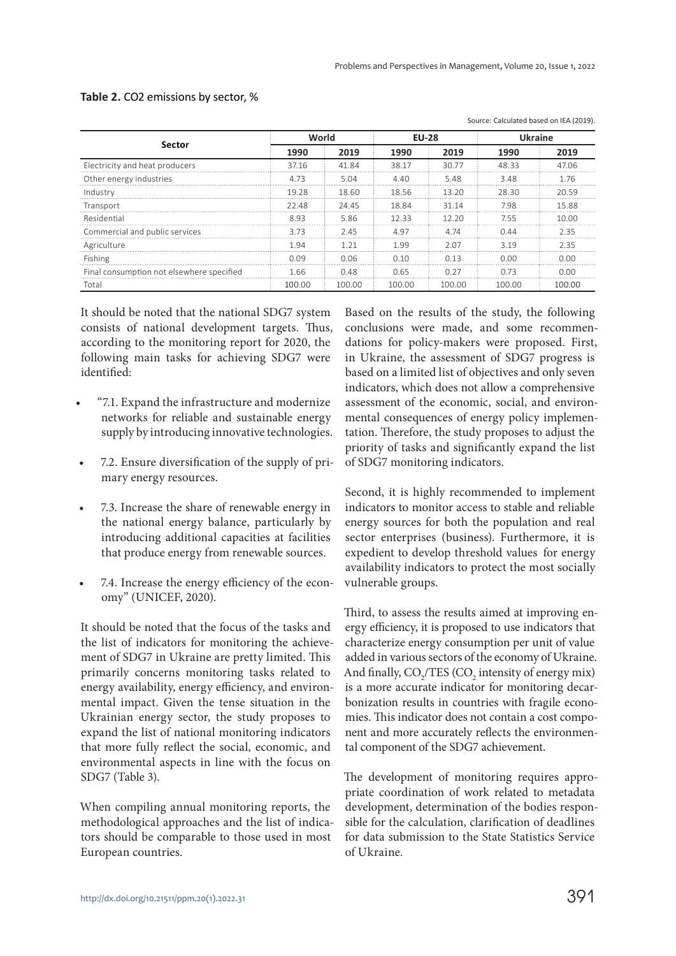Source: Calculated based on IEA (2019).

|                                           | World  |        | <b>EU-28</b> |        | <b>Ukraine</b> |        |
|-------------------------------------------|--------|--------|--------------|--------|----------------|--------|
| Sector                                    | 1990   | 2019   | 1990         | 2019   | 1990           | 2019   |
| Electricity and heat producers            | 37.16  | 4184   | 38.17        | 30.77  | 48.33          | 4706   |
| Other energy industries                   | 4 7 3  | 5.04   | 4.40         | 5.48   | 3.48           | 1.76   |
| Industry                                  | 19.28  | 18.60  | 18.56        | 13.20  | 28.30          | 20.59  |
| Transport                                 | 22.48  | 24.45  | 18.84        | 31 14  | 798            | 15.88  |
| Residential                               | 893    | 5.86   | 12.33        | 12.20  | 755            | 10.00  |
| Commercial and public services            | 373    | 245    | 497          | 4 74   | N 44           | 2.35   |
| Agriculture                               | 94     | 1 71   | 199          | 2 N 7  | 319            | 2.35   |
| Fishing                                   | በ በዓ   | 0.06   | 0.10         | በ 13   | n nn           | በ በበ   |
| Final consumption not elsewhere specified | 1.66   | 0.48   | 0.65         |        | በ 73           | 0 OO   |
| Total                                     | 100.00 | 100.00 | 100.00       | 100.00 | 100.00         | 100.00 |

#### **Table 2.** CO2 emissions by sector, %

It should be noted that the national SDG7 system consists of national development targets. Thus, according to the monitoring report for 2020, the following main tasks for achieving SDG7 were identified:

- "7.1. Expand the infrastructure and modernize networks for reliable and sustainable energy supply by introducing innovative technologies.
- 7.2. Ensure diversification of the supply of primary energy resources.
- 7.3. Increase the share of renewable energy in the national energy balance, particularly by introducing additional capacities at facilities that produce energy from renewable sources.
- 7.4. Increase the energy efficiency of the economy" (UNICEF, 2020).

It should be noted that the focus of the tasks and the list of indicators for monitoring the achievement of SDG7 in Ukraine are pretty limited. This primarily concerns monitoring tasks related to energy availability, energy efficiency, and environmental impact. Given the tense situation in the Ukrainian energy sector, the study proposes to expand the list of national monitoring indicators that more fully reflect the social, economic, and environmental aspects in line with the focus on SDG7 (Table 3).

When compiling annual monitoring reports, the methodological approaches and the list of indicators should be comparable to those used in most European countries.

Based on the results of the study, the following conclusions were made, and some recommendations for policy-makers were proposed. First, in Ukraine, the assessment of SDG7 progress is based on a limited list of objectives and only seven indicators, which does not allow a comprehensive assessment of the economic, social, and environmental consequences of energy policy implementation. Therefore, the study proposes to adjust the priority of tasks and significantly expand the list of SDG7 monitoring indicators.

Second, it is highly recommended to implement indicators to monitor access to stable and reliable energy sources for both the population and real sector enterprises (business). Furthermore, it is expedient to develop threshold values for energy availability indicators to protect the most socially vulnerable groups.

Third, to assess the results aimed at improving energy efficiency, it is proposed to use indicators that characterize energy consumption per unit of value added in various sectors of the economy of Ukraine. And finally,  $CO_2/TES$  ( $CO_2$  intensity of energy mix) is a more accurate indicator for monitoring decarbonization results in countries with fragile economies. This indicator does not contain a cost component and more accurately reflects the environmental component of the SDG7 achievement.

The development of monitoring requires appropriate coordination of work related to metadata development, determination of the bodies responsible for the calculation, clarification of deadlines for data submission to the State Statistics Service of Ukraine.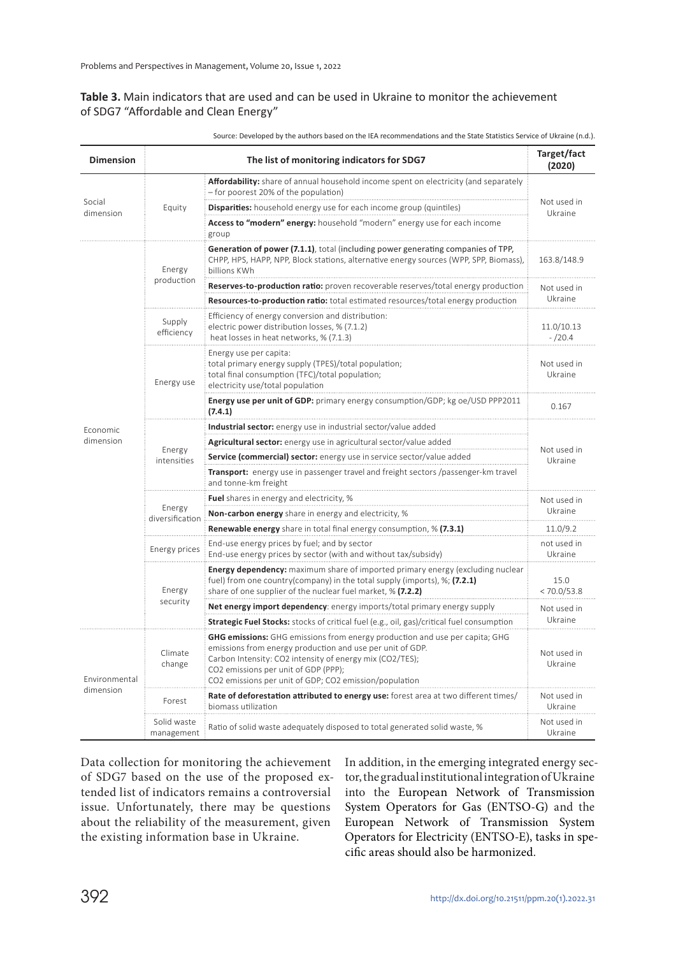### **Table 3.** Main indicators that are used and can be used in Ukraine to monitor the achievement of SDG7 "Affordable and Clean Energy"

| Source: Developed by the authors based on the IEA recommendations and the State Statistics Service of Ukraine (n.d.). |  |
|-----------------------------------------------------------------------------------------------------------------------|--|
|-----------------------------------------------------------------------------------------------------------------------|--|

| <b>Dimension</b>           | The list of monitoring indicators for SDG7 |                                                                                                                                                                                                                                                                                                               |                          |  |
|----------------------------|--------------------------------------------|---------------------------------------------------------------------------------------------------------------------------------------------------------------------------------------------------------------------------------------------------------------------------------------------------------------|--------------------------|--|
| Social<br>dimension        |                                            | <b>Affordability:</b> share of annual household income spent on electricity (and separately<br>- for poorest 20% of the population)                                                                                                                                                                           | Not used in<br>Ukraine   |  |
|                            | Equity                                     | Disparities: household energy use for each income group (quintiles)                                                                                                                                                                                                                                           |                          |  |
|                            |                                            | Access to "modern" energy: household "modern" energy use for each income<br>group                                                                                                                                                                                                                             |                          |  |
|                            | Energy<br>production                       | <b>Generation of power (7.1.1)</b> , total (including power generating companies of TPP,<br>CHPP, HPS, HAPP, NPP, Block stations, alternative energy sources (WPP, SPP, Biomass),<br>billions KWh                                                                                                             | 163.8/148.9              |  |
|                            |                                            | <b>Reserves-to-production ratio:</b> proven recoverable reserves/total energy production                                                                                                                                                                                                                      | Not used in<br>Ukraine   |  |
|                            |                                            | Resources-to-production ratio: total estimated resources/total energy production                                                                                                                                                                                                                              |                          |  |
|                            | Supply<br>efficiency                       | Efficiency of energy conversion and distribution:<br>electric power distribution losses, % (7.1.2)<br>heat losses in heat networks, % (7.1.3)                                                                                                                                                                 | 11.0/10.13<br>$- / 20.4$ |  |
|                            | Energy use                                 | Energy use per capita:<br>total primary energy supply (TPES)/total population;<br>total final consumption (TFC)/total population;<br>electricity use/total population                                                                                                                                         | Not used in<br>Ukraine   |  |
|                            |                                            | <b>Energy use per unit of GDP:</b> primary energy consumption/GDP; kg oe/USD PPP2011<br>(7.4.1)                                                                                                                                                                                                               | 0.167                    |  |
| Economic                   | Energy<br>intensities                      | Industrial sector: energy use in industrial sector/value added                                                                                                                                                                                                                                                |                          |  |
| dimension                  |                                            | Agricultural sector: energy use in agricultural sector/value added                                                                                                                                                                                                                                            |                          |  |
|                            |                                            | Service (commercial) sector: energy use in service sector/value added                                                                                                                                                                                                                                         | Not used in<br>Ukraine   |  |
|                            |                                            | <b>Transport:</b> energy use in passenger travel and freight sectors /passenger-km travel<br>and tonne-km freight                                                                                                                                                                                             |                          |  |
|                            | Energy<br>diversification                  | <b>Fuel</b> shares in energy and electricity, %                                                                                                                                                                                                                                                               | Not used in              |  |
|                            |                                            | <b>Non-carbon energy</b> share in energy and electricity, %                                                                                                                                                                                                                                                   | Ukraine                  |  |
|                            |                                            | <b>Renewable energy</b> share in total final energy consumption, % (7.3.1)                                                                                                                                                                                                                                    | 11.0/9.2                 |  |
|                            | Energy prices                              | End-use energy prices by fuel; and by sector<br>End-use energy prices by sector (with and without tax/subsidy)                                                                                                                                                                                                | not used in<br>Ukraine   |  |
|                            | Energy                                     | <b>Energy dependency:</b> maximum share of imported primary energy (excluding nuclear<br>fuel) from one country(company) in the total supply (imports), %; (7.2.1)<br>share of one supplier of the nuclear fuel market, % (7.2.2)                                                                             | 15.0<br>< 70.0 / 53.8    |  |
|                            | security                                   | Net energy import dependency: energy imports/total primary energy supply                                                                                                                                                                                                                                      | Not used in              |  |
|                            |                                            | <b>Strategic Fuel Stocks:</b> stocks of critical fuel (e.g., oil, gas)/critical fuel consumption                                                                                                                                                                                                              | Ukraine                  |  |
| Environmental<br>dimension | Climate<br>change                          | <b>GHG emissions:</b> GHG emissions from energy production and use per capita; GHG<br>emissions from energy production and use per unit of GDP.<br>Carbon Intensity: CO2 intensity of energy mix (CO2/TES);<br>CO2 emissions per unit of GDP (PPP);<br>CO2 emissions per unit of GDP; CO2 emission/population | Not used in<br>Ukraine   |  |
|                            | Forest                                     | Rate of deforestation attributed to energy use: forest area at two different times/<br>biomass utilization                                                                                                                                                                                                    | Not used in<br>Ukraine   |  |
|                            | Solid waste<br>management                  | Ratio of solid waste adequately disposed to total generated solid waste, %                                                                                                                                                                                                                                    | Not used in<br>Ukraine   |  |

Data collection for monitoring the achievement of SDG7 based on the use of the proposed extended list of indicators remains a controversial issue. Unfortunately, there may be questions about the reliability of the measurement, given the existing information base in Ukraine.

In addition, in the emerging integrated energy sector, the gradual institutional integration of Ukraine into the European Network of Transmission System Operators for Gas (ENTSO-G) and the European Network of Transmission System Operators for Electricity (ENTSO-Е), tasks in specific areas should also be harmonized.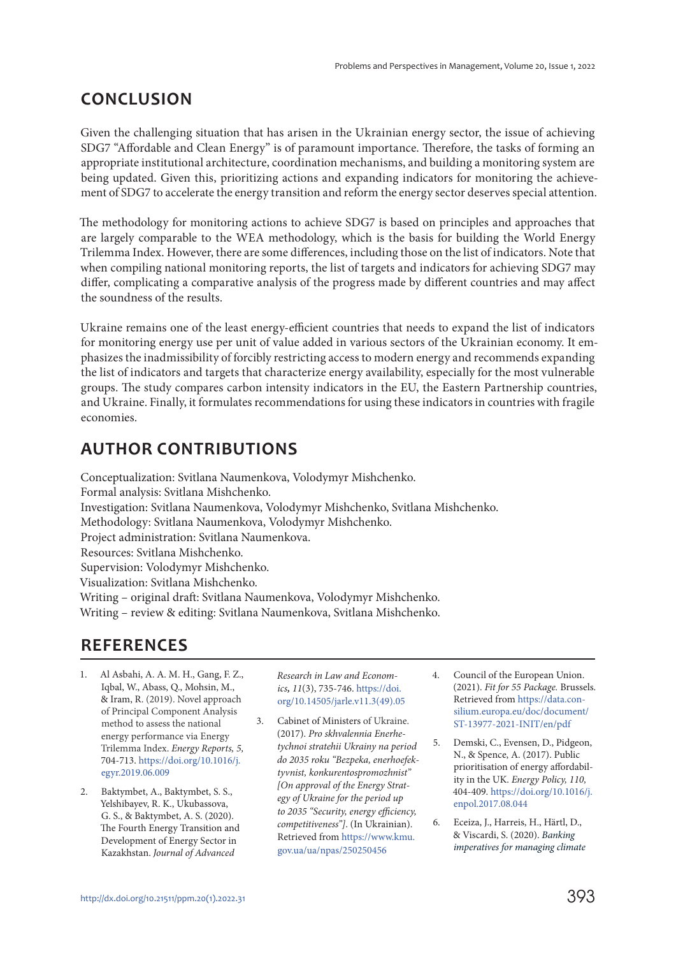### **CONCLUSION**

Given the challenging situation that has arisen in the Ukrainian energy sector, the issue of achieving SDG7 "Affordable and Clean Energy" is of paramount importance. Therefore, the tasks of forming an appropriate institutional architecture, coordination mechanisms, and building a monitoring system are being updated. Given this, prioritizing actions and expanding indicators for monitoring the achievement of SDG7 to accelerate the energy transition and reform the energy sector deserves special attention.

The methodology for monitoring actions to achieve SDG7 is based on principles and approaches that are largely comparable to the WEA methodology, which is the basis for building the World Energy Trilemma Index. However, there are some differences, including those on the list of indicators. Note that when compiling national monitoring reports, the list of targets and indicators for achieving SDG7 may differ, complicating a comparative analysis of the progress made by different countries and may affect the soundness of the results.

Ukraine remains one of the least energy-efficient countries that needs to expand the list of indicators for monitoring energy use per unit of value added in various sectors of the Ukrainian economy. It emphasizes the inadmissibility of forcibly restricting access to modern energy and recommends expanding the list of indicators and targets that characterize energy availability, especially for the most vulnerable groups. The study compares carbon intensity indicators in the EU, the Eastern Partnership countries, and Ukraine. Finally, it formulates recommendations for using these indicators in countries with fragile economies.

### **AUTHOR CONTRIBUTIONS**

Conceptualization: Svitlana Naumenkova, Volodymyr Mishchenko. Formal analysis: Svitlana Mishchenko. Investigation: Svitlana Naumenkova, Volodymyr Mishchenko, Svitlana Mishchenko. Methodology: Svitlana Naumenkova, Volodymyr Mishchenko. Project administration: Svitlana Naumenkova. Resources: Svitlana Mishchenko. Supervision: Volodymyr Mishchenko. Visualization: Svitlana Mishchenko. Writing – original draft: Svitlana Naumenkova, Volodymyr Mishchenko. Writing – review & editing: Svitlana Naumenkova, Svitlana Mishchenko.

### **REFERENCES**

- 1. Al Asbahi, A. A. M. H., Gang, F. Z., Iqbal, W., Abass, Q., Mohsin, M., & Iram, R. (2019). Novel approach of Principal Component Analysis method to assess the national energy performance via Energy Trilemma Index. Energy Reports, 5, 704-713. https://doi.org/10.1016/j. egyr.2019.06.009
- 2. Baktymbet, A., Baktymbet, S. S., Yelshibayev, R. K., Ukubassova, G. S., & Baktymbet, A. S. (2020). The Fourth Energy Transition and Development of Energy Sector in Kazakhstan. Journal of Advanced

Research in Law and Economics**,** 11(3), 735-746. https://doi. org/10.14505/jarle.v11.3(49).05

- 3. Cabinet of Ministers of Ukraine. (2017). Pro skhvalennia Enerhetychnoi stratehii Ukrainy na period do 2035 roku "Bezpeka, enerhoefektyvnist, konkurentospromozhnist" [On approval of the Energy Strategy of Ukraine for the period up to 2035 "Security, energy efficiency, competitiveness"]. (In Ukrainian). Retrieved from https://www.kmu. gov.ua/ua/npas/250250456
- 4. Council of the European Union. (2021). Fit for 55 Package. Brussels. Retrieved from https://data.consilium.europa.eu/doc/document/ ST-13977-2021-INIT/en/pdf
- 5. Demski, C., Evensen, D., Pidgeon, N., & Spence, A. (2017). Public prioritisation of energy affordability in the UK. Energy Policy, 110, 404-409. https://doi.org/10.1016/j. enpol.2017.08.044
- 6. Eceiza, J., Harreis, H., Härtl, D., & Viscardi, S. (2020). Banking imperatives for managing climate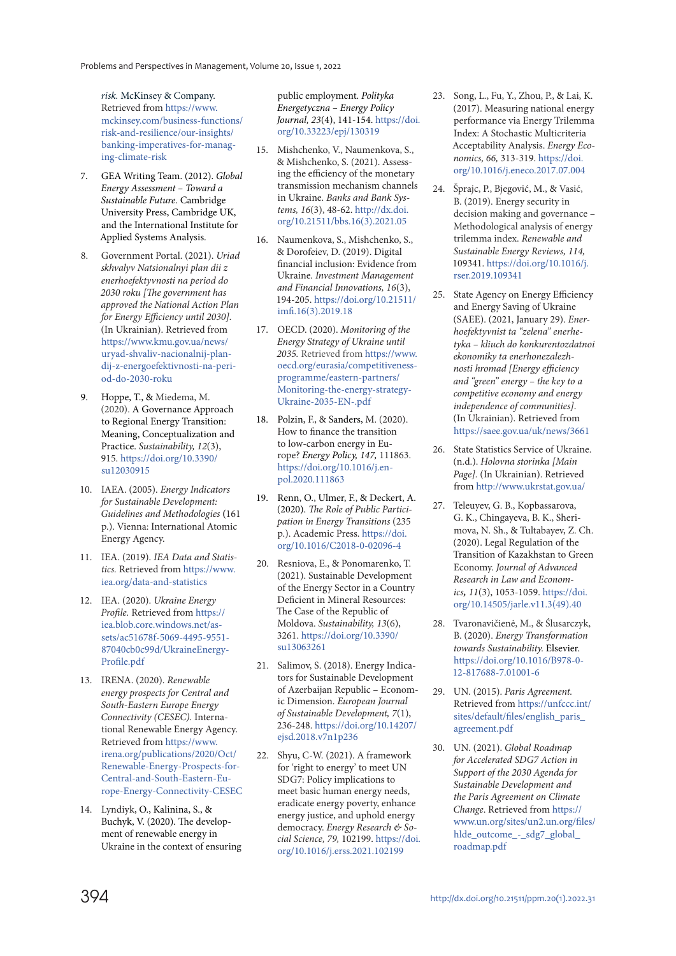risk. McKinsey & Company. Retrieved from https://www. mckinsey.com/business-functions/ risk-and-resilience/our-insights/ banking-imperatives-for-managing-climate-risk

- 7. GEA Writing Team. (2012). Global Energy Assessment – Toward a Sustainable Future. Cambridge University Press, Cambridge UK, and the International Institute for Applied Systems Analysis.
- 8. Government Portal. (2021). Uriad skhvalyv Natsionalnyi plan dii z enerhoefektyvnosti na period do 2030 roku [The government has approved the National Action Plan for Energy Efficiency until 2030]. (In Ukrainian). Retrieved from https://www.kmu.gov.ua/news/ uryad-shvaliv-nacionalnij-plandij-z-energoefektivnosti-na-period-do-2030-roku
- 9. Hoppe, T., & Miedema, M. (2020). A Governance Approach to Regional Energy Transition: Meaning, Conceptualization and Practice. Sustainability, 12(3), 915. https://doi.org/10.3390/ su12030915
- 10. IAEA. (2005). Energy Indicators for Sustainable Development: Guidelines and Methodologies **(**161 p.). Vienna: International Atomic Energy Agency.
- 11. IEA. (2019). IEA Data and Statistics. Retrieved from https://www. iea.org/data-and-statistics
- 12. IEA. (2020). Ukraine Energy Profile. Retrieved from https:// iea.blob.core.windows.net/assets/ac51678f-5069-4495-9551- 87040cb0c99d/UkraineEnergy-Profile.pdf
- 13. IRENA. (2020). Renewable energy prospects for Central and South-Eastern Europe Energy Connectivity (CESEC). International Renewable Energy Agency. Retrieved from https://www. irena.org/publications/2020/Oct/ Renewable-Energy-Prospects-for-Central-and-South-Eastern-Europe-Energy-Connectivity-CESEC
- 14. Lyndiyk, O., Kalinina, S., & Buchyk, V. (2020). The development of renewable energy in Ukraine in the context of ensuring

public employment. Polityka Energetyczna – Energy Policy Journal, 23(4), 141-154. https://doi. org/10.33223/epj/130319

- 15. Mishchenko, V., Naumenkova, S., & Mishchenko, S. (2021). Assessing the efficiency of the monetary transmission mechanism channels in Ukraine. Banks and Bank Systems, 16(3), 48-62. http://dx.doi. org/10.21511/bbs.16(3).2021.05
- 16. Naumenkova, S., Mishchenko, S., & Dorofeiev, D. (2019). Digital financial inclusion: Evidence from Ukraine. Investment Management and Financial Innovations, 16(3), 194-205. https://doi.org/10.21511/ imfi.16(3).2019.18
- 17. OECD. (2020). Monitoring of the Energy Strategy of Ukraine until 2035. Retrieved from https://www. oecd.org/eurasia/competitivenessprogramme/eastern-partners/ Monitoring-the-energy-strategy-Ukraine-2035-EN-.pdf
- 18. Polzin, F., & Sanders, M. (2020). How to finance the transition to low-carbon energy in Europe? Energy Policy, 147, 111863. https://doi.org/10.1016/j.enpol.2020.111863
- 19. Renn, O., Ulmer, F., & Deckert, A. (2020). The Role of Public Participation in Energy Transitions (235 p.). Academic Press. https://doi. org/10.1016/C2018-0-02096-4
- 20. Resniova, E., & Ponomarenko, T. (2021). Sustainable Development of the Energy Sector in a Country Deficient in Mineral Resources: The Case of the Republic of Moldova. Sustainability, 13(6), 3261. https://doi.org/10.3390/ su13063261
- 21. Salimov, S. (2018). Energy Indicators for Sustainable Development of Azerbaijan Republic – Economic Dimension. European Journal of Sustainable Development, 7(1), 236-248. https://doi.org/10.14207/ ejsd.2018.v7n1p236
- 22. Shyu, C-W. (2021). A framework for 'right to energy' to meet UN SDG7: Policy implications to meet basic human energy needs, eradicate energy poverty, enhance energy justice, and uphold energy democracy. Energy Research & Social Science, 79, 102199. https://doi. org/10.1016/j.erss.2021.102199
- 23. Song, L., Fu, Y., Zhou, P., & Lai, K. (2017). Measuring national energy performance via Energy Trilemma Index: A Stochastic Multicriteria Acceptability Analysis. Energy Economics, 66, 313-319. https://doi. org/10.1016/j.eneco.2017.07.004
- 24. Šprajc, P., Bjegović, M., & Vasić, B. (2019). Energy security in decision making and governance – Methodological analysis of energy trilemma index. Renewable and Sustainable Energy Reviews, 114, 109341. https://doi.org/10.1016/j. rser.2019.109341
- 25. State Agency on Energy Efficiency and Energy Saving of Ukraine (SAEE). (2021, January 29). Enerhoefektyvnist ta "zelena" enerhetyka – kliuch do konkurentozdatnoi ekonomiky ta enerhonezalezhnosti hromad [Energy efficiency and "green" energy – the key to a competitive economy and energy independence of communities]. (In Ukrainian). Retrieved from https://saee.gov.ua/uk/news/3661
- 26. State Statistics Service of Ukraine. (n.d.). Holovna storinka [Main Page]. (In Ukrainian). Retrieved from http://www.ukrstat.gov.ua/
- 27. Teleuyev, G. B., Kopbassarova, G. K., Chingayeva, B. K., Sherimova, N. Sh., & Tultabayev, Z. Ch. (2020). Legal Regulation of the Transition of Kazakhstan to Green Economy. Journal of Advanced Research in Law and Economics**,** 11(3), 1053-1059. https://doi. org/10.14505/jarle.v11.3(49).40
- 28. Tvaronavičienė, M., & Ślusarczyk, B. (2020). Energy Transformation towards Sustainability. Elsevier. https://doi.org/10.1016/B978-0- 12-817688-7.01001-6
- 29. UN. (2015). Paris Agreement. Retrieved from https://unfccc.int/ sites/default/files/english\_paris\_ agreement.pdf
- 30. UN. (2021). Global Roadmap for Accelerated SDG7 Action in Support of the 2030 Agenda for Sustainable Development and the Paris Agreement on Climate Change. Retrieved from https:// www.un.org/sites/un2.un.org/files/ hlde\_outcome\_-\_sdg7\_global\_ roadmap.pdf